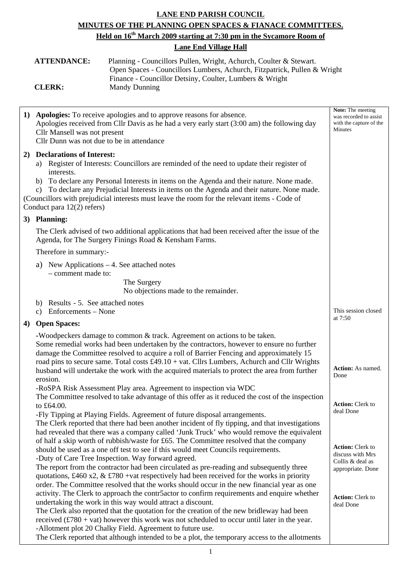## **LANE END PARISH COUNCIL MINUTES OF THE PLANNING OPEN SPACES & FIANACE COMMITTEES. Held on 16th March 2009 starting at 7:30 pm in the Sycamore Room of Lane End Village Hall**

| <b>ATTENDANCE:</b> | Planning - Councillors Pullen, Wright, Achurch, Coulter & Stewart.       |
|--------------------|--------------------------------------------------------------------------|
|                    | Open Spaces - Councillors Lumbers, Achurch, Fitzpatrick, Pullen & Wright |
|                    | Finance - Councillor Detsiny, Coulter, Lumbers & Wright                  |
| <b>CLERK:</b>      | <b>Mandy Dunning</b>                                                     |

| 1) | Apologies: To receive apologies and to approve reasons for absence.<br>Apologies received from Cllr Davis as he had a very early start (3:00 am) the following day<br>Cllr Mansell was not present<br>Cllr Dunn was not due to be in attendance                                                                                                                                                                                                                                                                                                                                                                                                                                                                                                                                                                                                                                                                                                                                                                                                                                                                                                                                                                                                                                                                                                                                                                                                                                                                                                                                                                                                                                                                                                                                                                                                                                                                                                                                                                           | <b>Note:</b> The meeting<br>was recorded to assist<br>with the capture of the<br>Minutes                                                                                                                 |
|----|---------------------------------------------------------------------------------------------------------------------------------------------------------------------------------------------------------------------------------------------------------------------------------------------------------------------------------------------------------------------------------------------------------------------------------------------------------------------------------------------------------------------------------------------------------------------------------------------------------------------------------------------------------------------------------------------------------------------------------------------------------------------------------------------------------------------------------------------------------------------------------------------------------------------------------------------------------------------------------------------------------------------------------------------------------------------------------------------------------------------------------------------------------------------------------------------------------------------------------------------------------------------------------------------------------------------------------------------------------------------------------------------------------------------------------------------------------------------------------------------------------------------------------------------------------------------------------------------------------------------------------------------------------------------------------------------------------------------------------------------------------------------------------------------------------------------------------------------------------------------------------------------------------------------------------------------------------------------------------------------------------------------------|----------------------------------------------------------------------------------------------------------------------------------------------------------------------------------------------------------|
| 2) | <b>Declarations of Interest:</b><br>a) Register of Interests: Councillors are reminded of the need to update their register of<br>interests.<br>b) To declare any Personal Interests in items on the Agenda and their nature. None made.<br>c) To declare any Prejudicial Interests in items on the Agenda and their nature. None made.<br>(Councillors with prejudicial interests must leave the room for the relevant items - Code of<br>Conduct para 12(2) refers)                                                                                                                                                                                                                                                                                                                                                                                                                                                                                                                                                                                                                                                                                                                                                                                                                                                                                                                                                                                                                                                                                                                                                                                                                                                                                                                                                                                                                                                                                                                                                     |                                                                                                                                                                                                          |
|    | 3) Planning:                                                                                                                                                                                                                                                                                                                                                                                                                                                                                                                                                                                                                                                                                                                                                                                                                                                                                                                                                                                                                                                                                                                                                                                                                                                                                                                                                                                                                                                                                                                                                                                                                                                                                                                                                                                                                                                                                                                                                                                                              |                                                                                                                                                                                                          |
|    | The Clerk advised of two additional applications that had been received after the issue of the<br>Agenda, for The Surgery Finings Road & Kensham Farms.                                                                                                                                                                                                                                                                                                                                                                                                                                                                                                                                                                                                                                                                                                                                                                                                                                                                                                                                                                                                                                                                                                                                                                                                                                                                                                                                                                                                                                                                                                                                                                                                                                                                                                                                                                                                                                                                   |                                                                                                                                                                                                          |
|    | Therefore in summary:-                                                                                                                                                                                                                                                                                                                                                                                                                                                                                                                                                                                                                                                                                                                                                                                                                                                                                                                                                                                                                                                                                                                                                                                                                                                                                                                                                                                                                                                                                                                                                                                                                                                                                                                                                                                                                                                                                                                                                                                                    |                                                                                                                                                                                                          |
|    | New Applications $-4$ . See attached notes<br>a)<br>- comment made to:                                                                                                                                                                                                                                                                                                                                                                                                                                                                                                                                                                                                                                                                                                                                                                                                                                                                                                                                                                                                                                                                                                                                                                                                                                                                                                                                                                                                                                                                                                                                                                                                                                                                                                                                                                                                                                                                                                                                                    |                                                                                                                                                                                                          |
|    | The Surgery<br>No objections made to the remainder.                                                                                                                                                                                                                                                                                                                                                                                                                                                                                                                                                                                                                                                                                                                                                                                                                                                                                                                                                                                                                                                                                                                                                                                                                                                                                                                                                                                                                                                                                                                                                                                                                                                                                                                                                                                                                                                                                                                                                                       |                                                                                                                                                                                                          |
|    | b) Results - 5. See attached notes<br>c) Enforcements – None                                                                                                                                                                                                                                                                                                                                                                                                                                                                                                                                                                                                                                                                                                                                                                                                                                                                                                                                                                                                                                                                                                                                                                                                                                                                                                                                                                                                                                                                                                                                                                                                                                                                                                                                                                                                                                                                                                                                                              | This session closed<br>at 7:50                                                                                                                                                                           |
| 4) | <b>Open Spaces:</b>                                                                                                                                                                                                                                                                                                                                                                                                                                                                                                                                                                                                                                                                                                                                                                                                                                                                                                                                                                                                                                                                                                                                                                                                                                                                                                                                                                                                                                                                                                                                                                                                                                                                                                                                                                                                                                                                                                                                                                                                       |                                                                                                                                                                                                          |
|    | -Woodpeckers damage to common & track. Agreement on actions to be taken.<br>Some remedial works had been undertaken by the contractors, however to ensure no further<br>damage the Committee resolved to acquire a roll of Barrier Fencing and approximately 15<br>road pins to secure same. Total costs £49.10 + vat. Cllrs Lumbers, Achurch and Cllr Wrights<br>husband will undertake the work with the acquired materials to protect the area from further<br>erosion.<br>-RoSPA Risk Assessment Play area. Agreement to inspection via WDC<br>The Committee resolved to take advantage of this offer as it reduced the cost of the inspection<br>to £64.00.<br>-Fly Tipping at Playing Fields. Agreement of future disposal arrangements.<br>The Clerk reported that there had been another incident of fly tipping, and that investigations<br>had revealed that there was a company called 'Junk Truck' who would remove the equivalent<br>of half a skip worth of rubbish/waste for £65. The Committee resolved that the company<br>should be used as a one off test to see if this would meet Councils requirements.<br>-Duty of Care Tree Inspection. Way forward agreed.<br>The report from the contractor had been circulated as pre-reading and subsequently three<br>quotations, £460 x2, & £780 + vat respectively had been received for the works in priority<br>order. The Committee resolved that the works should occur in the new financial year as one<br>activity. The Clerk to approach the contr5actor to confirm requirements and enquire whether<br>undertaking the work in this way would attract a discount.<br>The Clerk also reported that the quotation for the creation of the new bridleway had been<br>received $(\text{\pounds}780 + \text{vat})$ however this work was not scheduled to occur until later in the year.<br>-Allotment plot 20 Chalky Field. Agreement to future use.<br>The Clerk reported that although intended to be a plot, the temporary access to the allotments | <b>Action:</b> As named.<br>Done<br><b>Action:</b> Clerk to<br>deal Done<br><b>Action:</b> Clerk to<br>discuss with Mrs<br>Collis & deal as<br>appropriate. Done<br><b>Action:</b> Clerk to<br>deal Done |